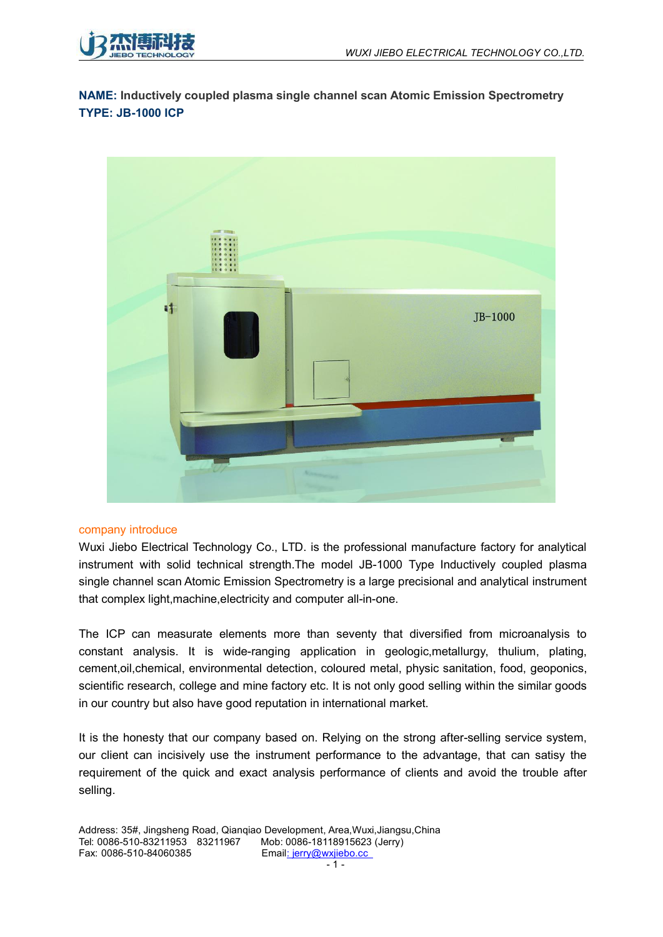

**NAME: Inductively coupled plasma single channel scan Atomic Emission Spectrometry TYPE: JB-1000 ICP**



#### company introduce

Wuxi Jiebo Electrical Technology Co., LTD. is the professional manufacture factory for analytical instrument with solid technical strength.The model JB-1000 Type Inductively coupled plasma single channel scan Atomic Emission Spectrometry is a large precisional and analytical instrument that complex light,machine,electricity and computer all-in-one.

The ICP can measurate elements more than seventy that diversified from microanalysis to constant analysis. It is wide-ranging application in geologic,metallurgy, thulium, plating, cement,oil,chemical, environmental detection, coloured metal, physic sanitation, food, geoponics, scientific research, college and mine factory etc. It is not only good selling within the similar goods in our country but also have good reputation in international market.

It is the honesty that our company based on. Relying on the strong after-selling service system, our client can incisively use the instrument performance to the advantage, that can satisy the requirement of the quick and exact analysis performance of clients and avoid the trouble after selling.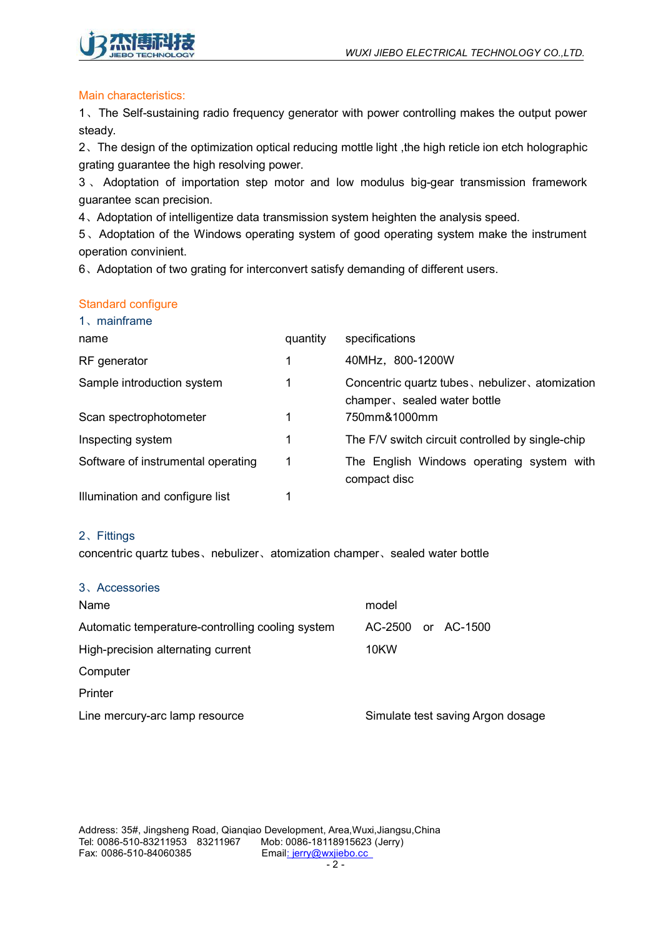

## Main characteristics:

1、The Self-sustaining radio frequency generator with power controlling makes the output power steady.

2、The design of the optimization optical reducing mottle light ,the high reticle ion etch holographic grating guarantee the high resolving power.

3 、 Adoptation of importation step motor and low modulus big-gear transmission framework guarantee scan precision.

4、Adoptation of intelligentize data transmission system heighten the analysis speed.

5、Adoptation of the Windows operating system of good operating system make the instrument operation convinient.

6、Adoptation of two grating for interconvert satisfy demanding of different users.

## Standard configure

| 1, mainframe                       |          |                                                                                 |
|------------------------------------|----------|---------------------------------------------------------------------------------|
| name                               | quantity | specifications                                                                  |
| RF generator                       |          | 40MHz, 800-1200W                                                                |
| Sample introduction system         |          | Concentric quartz tubes, nebulizer, atomization<br>champer, sealed water bottle |
| Scan spectrophotometer             |          | 750mm&1000mm                                                                    |
| Inspecting system                  |          | The F/V switch circuit controlled by single-chip                                |
| Software of instrumental operating |          | The English Windows operating system with<br>compact disc                       |
| Illumination and configure list    |          |                                                                                 |

#### 2、Fittings

concentric quartz tubes、nebulizer、atomization champer、sealed water bottle

| 3、Accessories                                    |                                   |
|--------------------------------------------------|-----------------------------------|
| Name                                             | model                             |
| Automatic temperature-controlling cooling system | AC-2500<br>AC-1500<br>or          |
| High-precision alternating current               | 10KW                              |
| Computer                                         |                                   |
| Printer                                          |                                   |
| Line mercury-arc lamp resource                   | Simulate test saving Argon dosage |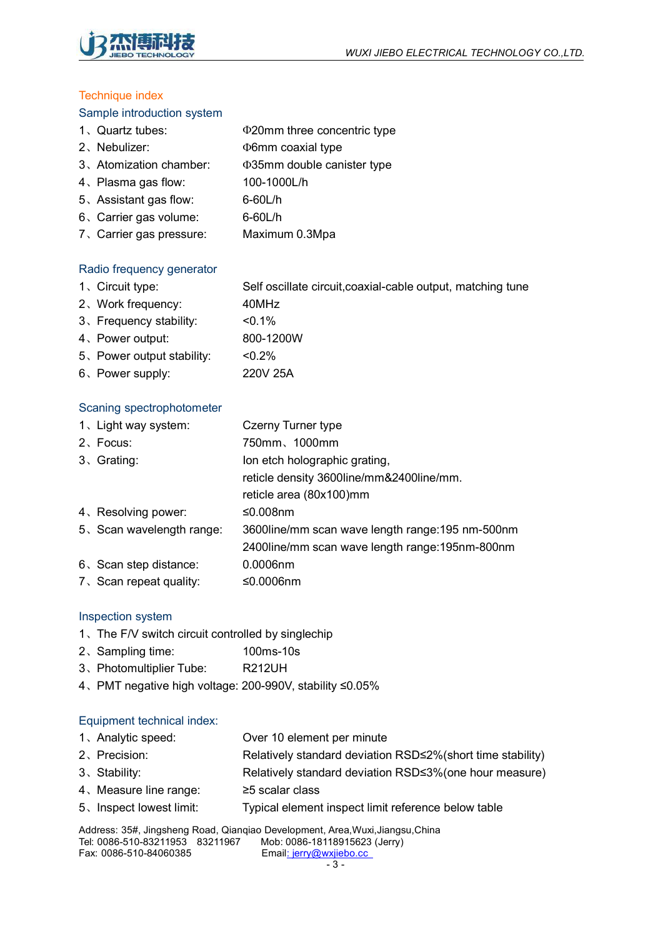

## **Technique index**

## Sample introduction system

| 1、Quartz tubes:        | <b><math>\Phi</math>20mm three concentric type</b> |
|------------------------|----------------------------------------------------|
| 2、Nebulizer:           | <b><i>D</i>6mm</b> coaxial type                    |
| 3、Atomization chamber: | <b>Φ35mm double canister type</b>                  |
| 4, Plasma gas flow:    | 100-1000L/h                                        |
| 5、Assistant gas flow:  | $6-60$ L/h                                         |
| 6. Carrier gas volume: | 6-60L/h                                            |

、Carrier gas pressure: Maximum 0.3Mpa

# Radio frequency generator

、Circuit type: Self oscillate circuit,coaxial-cable output, matching tune 、Work frequency: 40MHz

- 、Frequency stability: <0.1%
- 、Power output: 800-1200W
- 、Power output stability: <0.2%
- 、Power supply: 220V 25A

## Scaning spectrophotometer

| 1. Light way system:     | Czerny Turner type                               |
|--------------------------|--------------------------------------------------|
| 2、Focus:                 | 750mm、1000mm                                     |
| 3、Grating:               | lon etch holographic grating,                    |
|                          | reticle density 3600line/mm&2400line/mm.         |
|                          | reticle area (80x100)mm                          |
| 4、Resolving power:       | ≤0.008nm                                         |
| 5、Scan wavelength range: | 3600line/mm scan wave length range: 195 nm-500nm |
|                          | 2400line/mm scan wave length range: 195nm-800nm  |
| 6. Scan step distance:   | $0.0006$ nm                                      |
| 7. Scan repeat quality:  | ≤0.0006nm                                        |

#### Inspection system

- 、The F/V switch circuit controlled by singlechip
- 、Sampling time: 100ms-10s
- 、Photomultiplier Tube: R212UH
- 、PMT negative high voltage: 200-990V, stability ≤0.05%

#### Equipment technical index:

- 、Analytic speed: Over 10 element per minute
- 、Precision: Relatively standard deviation RSD≤2%(short time stability)
- 、Stability: Relatively standard deviation RSD≤3%(one hour measure)
- 、Measure line range: ≥5 scalar class
- 、Inspect lowest limit: Typical element inspect limit reference below table

Address: 35#, Jingsheng Road, Qianqiao Development, Area, Wuxi, Jiangsu, China<br>Tel: 0086-510-83211953 83211967 Mob: 0086-18118915623 (Jerry) Tel: 0086-510-83211953 83211967 Fax: 0086-510-84060385 Email: jerry@wxjiebo.cc